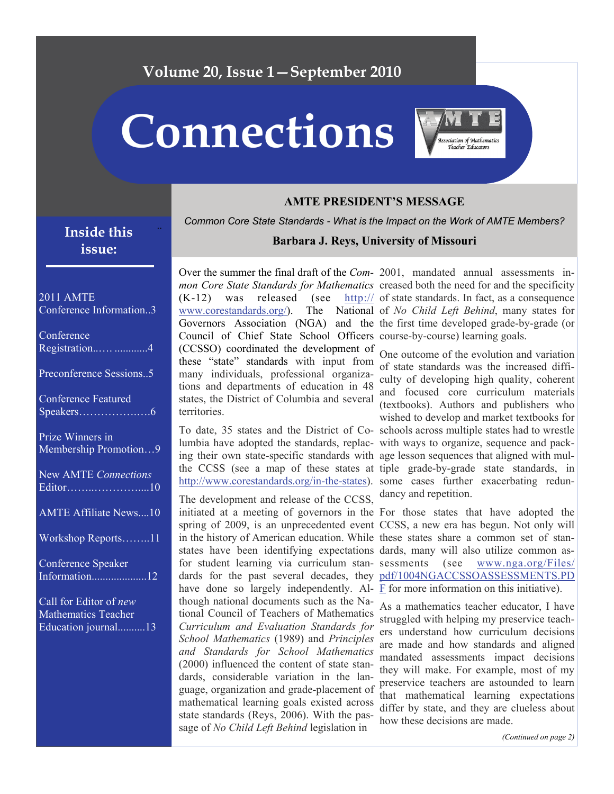### **Volume 20, Issue 1—September 2010**

**Connections** 



#### **AMTE PRESIDENT'S MESSAGE**

*Common Core State Standards - What is the Impact on the Work of AMTE Members?* 

### **Inside this issue:**

#### 2011 AMTE Conference Information..3

| Conference<br>Registration 4                                                |
|-----------------------------------------------------------------------------|
| Preconference Sessions5                                                     |
| <b>Conference Featured</b>                                                  |
| Prize Winners in<br>Membership Promotion9                                   |
| <b>New AMTE</b> Connections                                                 |
| <b>AMTE Affiliate News10</b>                                                |
| Workshop Reports11                                                          |
| <b>Conference Speaker</b><br>Information12                                  |
| Call for Editor of new<br><b>Mathematics Teacher</b><br>Education journal13 |

#### **Barbara J. Reys, University of Missouri**

Over the summer the final draft of the *Com-*2001, mandated annual assessments in- $(K-12)$  was released (see www.corestandards.org/ $)$ . Council of Chief State School Officers course-by-course) learning goals. (CCSSO) coordinated the development of these "state" standards with input from many individuals, professional organizations and departments of education in 48 states, the District of Columbia and several territories.

lumbia have adopted the standards, replac-with ways to organize, sequence and packing their own state-specific standards with age lesson sequences that aligned with mul[http://www.corestandards.org/in-the-states\)](http://www.corestandards.org/in-the-states). some cases further exacerbating redun-

The development and release of the CCSS, initiated at a meeting of governors in the For those states that have adopted the for student learning via curriculum stanhave done so largely independently. Al-  $\overline{F}$  $\overline{F}$  $\overline{F}$  for more information on this initiative). though national documents such as the National Council of Teachers of Mathematics *Curriculum and Evaluation Standards for School Mathematics* (1989) and *Principles and Standards for School Mathematics* (2000) influenced the content of state standards, considerable variation in the language, organization and grade-placement of mathematical learning goals existed across state standards (Reys, 2006). With the passage of *No Child Left Behind* legislation in

*mon Core State Standards for Mathematics* creased both the need for and the specificity Governors Association (NGA) and the the first time developed grade-by-grade (or  $\frac{http://}{\cdot\cdot\cdot}$  of state standards. In fact, as a consequence The National of *No Child Left Behind*, many states for

To date, 35 states and the District of Co-schools across multiple states had to wrestle the CCSS (see a map of these states at tiple grade-by-grade state standards, in One outcome of the evolution and variation of state standards was the increased difficulty of developing high quality, coherent and focused core curriculum materials (textbooks). Authors and publishers who wished to develop and market textbooks for dancy and repetition.

spring of 2009, is an unprecedented event CCSS, a new era has begun. Not only will in the history of American education. While these states share a common set of stanstates have been identifying expectations dards, many will also utilize common asdards for the past several decades, they [pdf/1004NGACCSSOASSESSMENTS.PD](http://www.nga.org/Files/pdf/1004NGACCSSOASSESSMENTS.PDF)  $(see$  [www.nga.org/Files/](http://www.nga.org/Files/pdf/1004NGACCSSOASSESSMENTS.PDF)

> As a mathematics teacher educator, I have struggled with helping my preservice teachers understand how curriculum decisions are made and how standards and aligned mandated assessments impact decisions they will make. For example, most of my preservice teachers are astounded to learn that mathematical learning expectations differ by state, and they are clueless about how these decisions are made.

> > *(Continued on page 2)*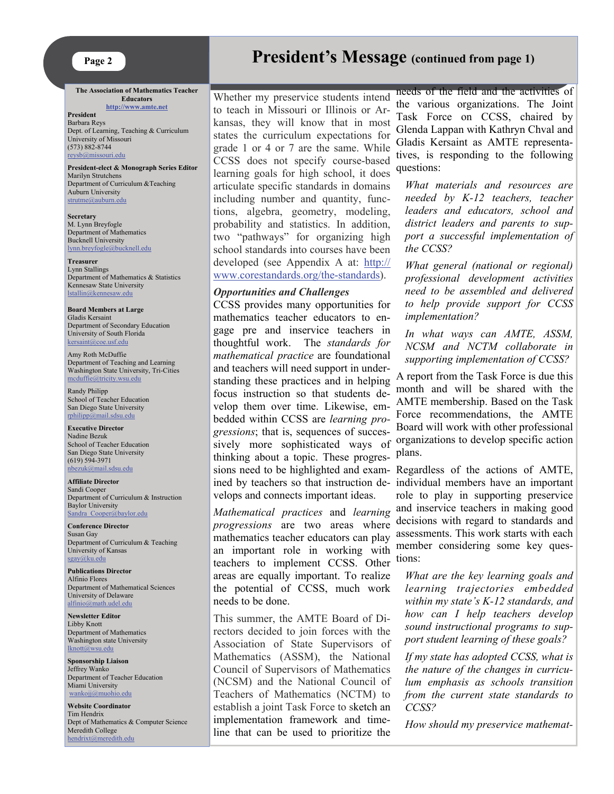**The Association of Mathematics Teacher Educators <http://www.amte.net>**

**President**  Barbara Reys Dept. of Learning, Teaching & Curriculum University of Missouri (573) 882-8744 [reysb@missouri.edu](mailto:reysb@missouri.edu)

**President-elect & Monograph Series Editor**  Marilyn Strutchens Department of Curriculum &Teaching Auburn University strutme@auburn.edu

**Secretary** M. Lynn Breyfogle Department of Mathematics Bucknell University [lynn.breyfogle@bucknell.edu](mailto:lynn.breyfogle@bucknell.edu)

**Treasurer** Lynn Stallings Department of Mathematics & Statistics Kennesaw State University [lstallin@kennesaw.edu](mailto:lstallin@kennesaw.edu) 

**Board Members at Large** Gladis Kersaint Department of Secondary Education University of South Florida [kersaint@coe.usf.edu](mailto:kersaint@coe.usf.edu)

Amy Roth McDuffie Department of Teaching and Learning Washington State University, Tri-Cities [mcduffie@tricity.wsu.edu](mailto:mcduffie@tricity.wsu.edu)

Randy Philipp School of Teacher Education San Diego State University [rphilipp@mail.sdsu.edu](mailto:rphilipp@mail.sdsu.edu)

#### **Executive Director** Nadine Bezuk School of Teacher Education San Diego State University (619) 594-3971 [nbezuk@mail.sdsu.edu](mailto:nbezuk@mail.sdsu.edu)

**Affiliate Director**  Sandi Cooper Department of Curriculum & Instruction Baylor University Sandra Cooper@baylor.edu

**Conference Director**  Susan Gay Department of Curriculum & Teaching University of Kansas [sgay@ku.edu](mailto:sgay@ku.edu)

**Publications Director**  Alfinio Flores Department of Mathematical Sciences University of Delaware [alfinio@math.udel.edu](mailto:alfinio@math.udel.edu)

**Newsletter Editor** Libby Knott Department of Mathematics Washington state University [lknott@wsu.edu](mailto:lknott@wsu.edu)

**Sponsorship Liaison**  Jeffrey Wanko Department of Teacher Education Miami University [wankojj@muohio.edu](mailto:wankojj@muohio.edu)

**Website Coordinator** Tim Hendrix Dept of Mathematics & Computer Science Meredith College [hendrixt@meredith.edu](mailto:hendrixt@meredith.edu)

# **President's Message (continued from page 1)**

Whether my preservice students intend to teach in Missouri or Illinois or Arkansas, they will know that in most states the curriculum expectations for grade 1 or 4 or 7 are the same. While CCSS does not specify course-based learning goals for high school, it does articulate specific standards in domains including number and quantity, functions, algebra, geometry, modeling, probability and statistics. In addition, two "pathways" for organizing high school standards into courses have been developed (see Appendix A at: [http://](http://www.corestandards.org/the-standards) [www.corestandards.org/the-standards\)](http://www.corestandards.org/the-standards).

#### *Opportunities and Challenges*

CCSS provides many opportunities for mathematics teacher educators to engage pre and inservice teachers in thoughtful work. The *standards for mathematical practice* are foundational and teachers will need support in understanding these practices and in helping focus instruction so that students develop them over time. Likewise, embedded within CCSS are *learning progressions*; that is, sequences of successively more sophisticated ways of thinking about a topic. These progressions need to be highlighted and examined by teachers so that instruction develops and connects important ideas.

*Mathematical practices* and *learning progressions* are two areas where mathematics teacher educators can play an important role in working with teachers to implement CCSS. Other areas are equally important. To realize the potential of CCSS, much work needs to be done.

This summer, the AMTE Board of Directors decided to join forces with the Association of State Supervisors of Mathematics (ASSM), the National Council of Supervisors of Mathematics (NCSM) and the National Council of Teachers of Mathematics (NCTM) to establish a joint Task Force to sketch an implementation framework and timeline that can be used to prioritize the

needs of the field and the activities of the various organizations. The Joint Task Force on CCSS, chaired by Glenda Lappan with Kathryn Chval and Gladis Kersaint as AMTE representatives, is responding to the following questions:

*What materials and resources are needed by K-12 teachers, teacher leaders and educators, school and district leaders and parents to support a successful implementation of the CCSS?* 

*What general (national or regional) professional development activities need to be assembled and delivered to help provide support for CCSS implementation?* 

*In what ways can AMTE, ASSM, NCSM and NCTM collaborate in supporting implementation of CCSS?* 

A report from the Task Force is due this month and will be shared with the AMTE membership. Based on the Task Force recommendations, the AMTE Board will work with other professional organizations to develop specific action plans.

Regardless of the actions of AMTE, individual members have an important role to play in supporting preservice and inservice teachers in making good decisions with regard to standards and assessments. This work starts with each member considering some key questions:

*What are the key learning goals and learning trajectories embedded within my state's K-12 standards, and how can I help teachers develop sound instructional programs to support student learning of these goals?* 

*If my state has adopted CCSS, what is the nature of the changes in curriculum emphasis as schools transition from the current state standards to CCSS?* 

*How should my preservice mathemat-*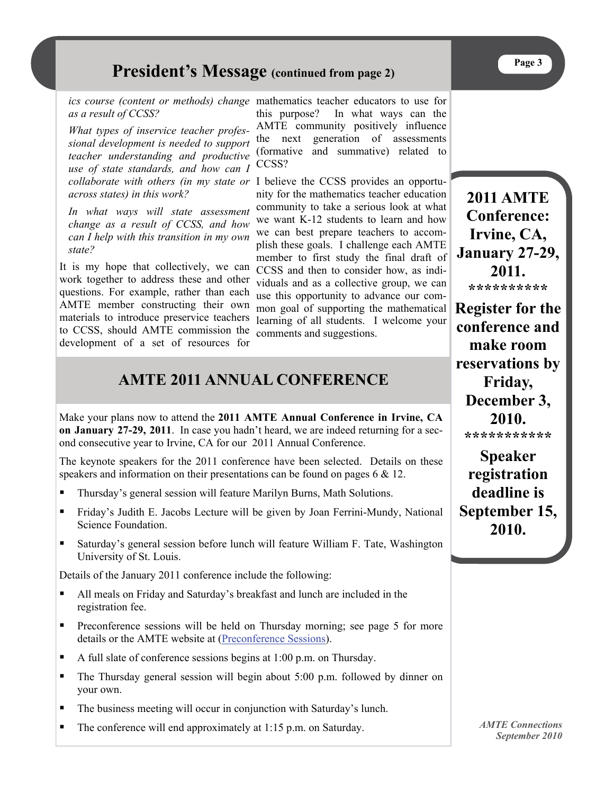# **President's Message (continued from page 2)**

*as a result of CCSS?* 

*What types of inservice teacher professional development is needed to support teacher understanding and productive use of state standards, and how can I collaborate with others (in my state or across states) in this work?* 

*In what ways will state assessment change as a result of CCSS, and how can I help with this transition in my own state?* 

It is my hope that collectively, we can work together to address these and other questions. For example, rather than each AMTE member constructing their own materials to introduce preservice teachers to CCSS, should AMTE commission the development of a set of resources for

*ics course (content or methods) change*  mathematics teacher educators to use for this purpose? In what ways can the AMTE community positively influence the next generation of assessments (formative and summative) related to CCSS?

> I believe the CCSS provides an opportunity for the mathematics teacher education community to take a serious look at what we want K-12 students to learn and how we can best prepare teachers to accomplish these goals. I challenge each AMTE member to first study the final draft of CCSS and then to consider how, as individuals and as a collective group, we can use this opportunity to advance our common goal of supporting the mathematical learning of all students. I welcome your comments and suggestions.

# **AMTE 2011 ANNUAL CONFERENCE**

Make your plans now to attend the **2011 AMTE Annual Conference in Irvine, CA on January 27-29, 2011**. In case you hadn't heard, we are indeed returning for a second consecutive year to Irvine, CA for our 2011 Annual Conference.

The keynote speakers for the 2011 conference have been selected. Details on these speakers and information on their presentations can be found on pages  $6 \& 12$ .

- Thursday's general session will feature Marilyn Burns, Math Solutions.
- Friday's Judith E. Jacobs Lecture will be given by Joan Ferrini-Mundy, National Science Foundation.
- **Saturday's general session before lunch will feature William F. Tate, Washington** University of St. Louis.

Details of the January 2011 conference include the following:

- All meals on Friday and Saturday's breakfast and lunch are included in the registration fee.
- Preconference sessions will be held on Thursday morning; see page 5 for more details or the AMTE website at [\(Preconference Sessions](http://amte.net/sites/all/themes/amte/resources/conf2011/15thAMTEConf2011_PreconferenceSessions.pdf)).
- A full slate of conference sessions begins at  $1:00$  p.m. on Thursday.
- The Thursday general session will begin about 5:00 p.m. followed by dinner on your own.
- The business meeting will occur in conjunction with Saturday's lunch.
- The conference will end approximately at 1:15 p.m. on Saturday.

**\*\*\*\*\*\*\*\*\*\* Register for the conference and make room reservations by Friday, December 3, 2010. \*\*\*\*\*\*\*\*\*\*\*** 

**2011 AMTE Conference: Irvine, CA, January 27-29, 2011.** 

**Speaker registration deadline is September 15, 2010.**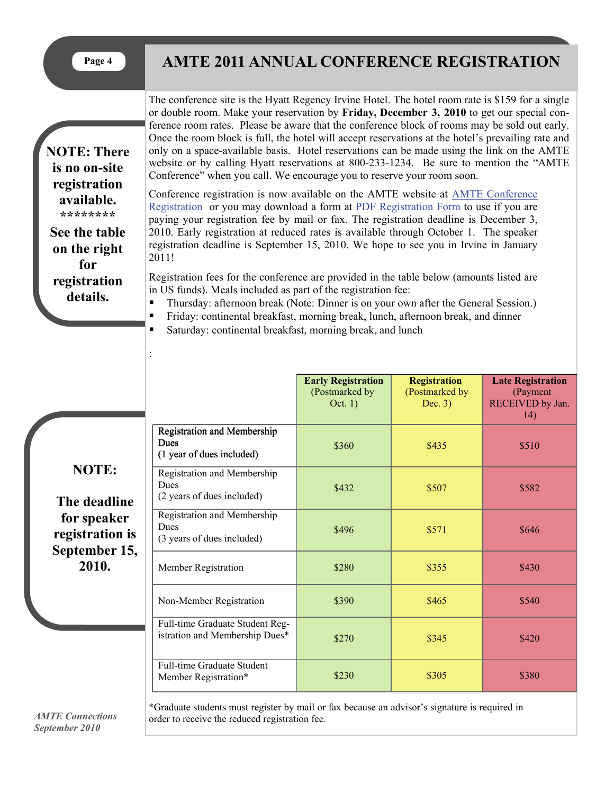**NOTE: There is no on-site registration available. \*\*\*\*\*\*\*\* See the table on the right for registration details.** 

:

# Page 4 AMTE 2011 ANNUAL CONFERENCE REGISTRATION

The conference site is the Hyatt Regency Irvine Hotel. The hotel room rate is \$159 for a single or double room. Make your reservation by **Friday, December 3, 2010** to get our special conference room rates. Please be aware that the conference block of rooms may be sold out early. Once the room block is full, the hotel will accept reservations at the hotel's prevailing rate and only on a space-available basis. Hotel reservations can be made using the link on the AMTE website or by calling Hyatt reservations at 800-233-1234. Be sure to mention the "AMTE Conference" when you call. We encourage you to reserve your room soon.

Conference registration is now available on the AMTE website at [AMTE Conference](https://www.amte.net/civicrm/event/register?id=8&reset=1)  [Registration](https://www.amte.net/civicrm/event/register?id=8&reset=1) or you may download a form at [PDF Registration Form](http://amte.net/sites/all/themes/amte/resources/conf2011/15thAMTEConf2011_MailFaxRegistrationForm.pdf) to use if you are paying your registration fee by mail or fax. The registration deadline is December 3, 2010. Early registration at reduced rates is available through October 1. The speaker registration deadline is September 15, 2010. We hope to see you in Irvine in January 2011!

Registration fees for the conference are provided in the table below (amounts listed are in US funds). Meals included as part of the registration fee:

**Thursday: afternoon break (Note: Dinner is on your own after the General Session.)** 

- Friday: continental breakfast, morning break, lunch, afternoon break, and dinner
- Saturday: continental breakfast, morning break, and lunch

|                                                                                          |                                                                                               | <b>Early Registration</b><br>(Postmarked by<br>Oct. $1)$ | <b>Registration</b><br>(Postmarked by<br>Dec. $3)$ | <b>Late Registration</b><br>(Payment<br>RECEIVED by Jan.<br>14) |
|------------------------------------------------------------------------------------------|-----------------------------------------------------------------------------------------------|----------------------------------------------------------|----------------------------------------------------|-----------------------------------------------------------------|
| <b>NOTE:</b><br>The deadline<br>for speaker<br>registration is<br>September 15,<br>2010. | Registration and Membership<br>Dues<br>(1 year of dues included)                              | \$360                                                    | \$435                                              | \$510                                                           |
|                                                                                          | Registration and Membership<br>Dues<br>(2 years of dues included)                             | \$432                                                    | \$507                                              | \$582                                                           |
|                                                                                          | Registration and Membership<br>Dues<br>(3 years of dues included)                             | \$496                                                    | \$571                                              | \$646                                                           |
|                                                                                          | Member Registration                                                                           | \$280                                                    | \$355                                              | \$430                                                           |
|                                                                                          | Non-Member Registration                                                                       | \$390                                                    | \$465                                              | \$540                                                           |
|                                                                                          | Full-time Graduate Student Reg-<br>istration and Membership Dues*                             | \$270                                                    | \$345                                              | \$420                                                           |
|                                                                                          | Full-time Graduate Student<br>Member Registration*                                            | \$230                                                    | \$305                                              | \$380                                                           |
|                                                                                          | *Graduate students must register by mail or fax because an advisor's signature is required in |                                                          |                                                    |                                                                 |

*AMTE Connections September 2010* 

order to receive the reduced registration fee.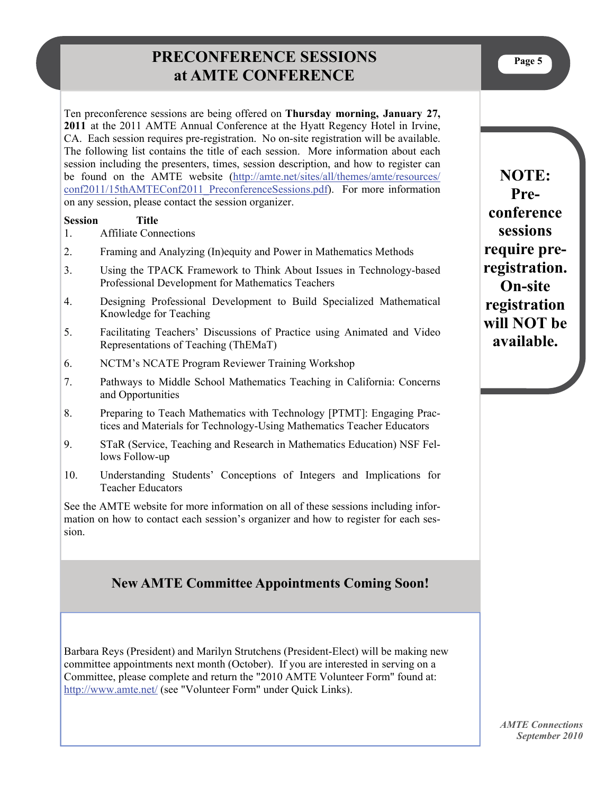## **PRECONFERENCE SESSIONS at AMTE CONFERENCE**

Ten preconference sessions are being offered on **Thursday morning, January 27, 2011** at the 2011 AMTE Annual Conference at the Hyatt Regency Hotel in Irvine, CA. Each session requires pre-registration. No on-site registration will be available. The following list contains the title of each session. More information about each session including the presenters, times, session description, and how to register can be found on the AMTE website ([http://amte.net/sites/all/themes/amte/resources/](http://amte.net/sites/all/themes/amte/resources/conf2011/15thAMTEConf2011_PreconferenceSessions.pdf) conf2011/15thAMTEConf2011 PreconferenceSessions.pdf). For more information on any session, please contact the session organizer.

#### **Session Title**

- 1. Affiliate Connections
- 2. Framing and Analyzing (In)equity and Power in Mathematics Methods
- 3. Using the TPACK Framework to Think About Issues in Technology-based Professional Development for Mathematics Teachers
- 4. Designing Professional Development to Build Specialized Mathematical Knowledge for Teaching
- 5. Facilitating Teachers' Discussions of Practice using Animated and Video Representations of Teaching (ThEMaT)
- 6. NCTM's NCATE Program Reviewer Training Workshop
- 7. Pathways to Middle School Mathematics Teaching in California: Concerns and Opportunities
- 8. Preparing to Teach Mathematics with Technology [PTMT]: Engaging Practices and Materials for Technology-Using Mathematics Teacher Educators
- 9. STaR (Service, Teaching and Research in Mathematics Education) NSF Fellows Follow-up
- 10. Understanding Students' Conceptions of Integers and Implications for Teacher Educators

See the AMTE website for more information on all of these sessions including information on how to contact each session's organizer and how to register for each session.

#### **New AMTE Committee Appointments Coming Soon!**

Barbara Reys (President) and Marilyn Strutchens (President-Elect) will be making new committee appointments next month (October). If you are interested in serving on a Committee, please complete and return the "2010 AMTE Volunteer Form" found at: [http://www.amte.net/](https://connect.wsu.edu/exchweb/bin/redir.asp?URL=http://www.amte.net/) (see "Volunteer Form" under Quick Links).

**NOTE: Preconference sessions require preregistration. On-site registration will NOT be available.**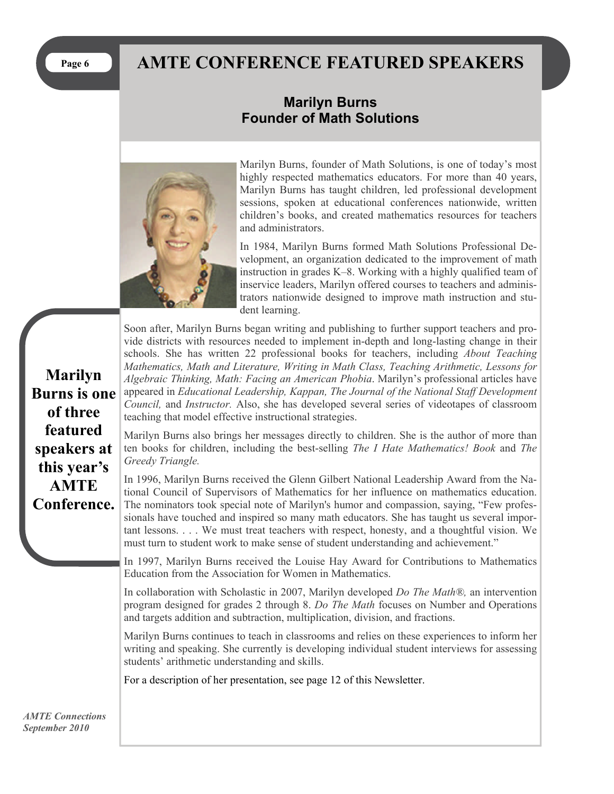# Page 6 **AMTE CONFERENCE FEATURED SPEAKERS**

### **Marilyn Burns Founder of Math Solutions**



Marilyn Burns, founder of Math Solutions, is one of today's most highly respected mathematics educators. For more than 40 years, Marilyn Burns has taught children, led professional development sessions, spoken at educational conferences nationwide, written children's books, and created mathematics resources for teachers and administrators.

In 1984, Marilyn Burns formed Math Solutions Professional Development, an organization dedicated to the improvement of math instruction in grades K–8. Working with a highly qualified team of inservice leaders, Marilyn offered courses to teachers and administrators nationwide designed to improve math instruction and student learning.

Soon after, Marilyn Burns began writing and publishing to further support teachers and provide districts with resources needed to implement in-depth and long-lasting change in their schools. She has written 22 professional books for teachers, including *About Teaching Mathematics, Math and Literature, Writing in Math Class, Teaching Arithmetic, Lessons for Algebraic Thinking, Math: Facing an American Phobia*. Marilyn's professional articles have appeared in *Educational Leadership, Kappan, The Journal of the National Staff Development Council,* and *Instructor.* Also, she has developed several series of videotapes of classroom teaching that model effective instructional strategies.

Marilyn Burns also brings her messages directly to children. She is the author of more than ten books for children, including the best-selling *The I Hate Mathematics! Book* and *The Greedy Triangle.* 

In 1996, Marilyn Burns received the Glenn Gilbert National Leadership Award from the National Council of Supervisors of Mathematics for her influence on mathematics education. The nominators took special note of Marilyn's humor and compassion, saying, "Few professionals have touched and inspired so many math educators. She has taught us several important lessons. . . . We must treat teachers with respect, honesty, and a thoughtful vision. We must turn to student work to make sense of student understanding and achievement."

In 1997, Marilyn Burns received the Louise Hay Award for Contributions to Mathematics Education from the Association for Women in Mathematics.

In collaboration with Scholastic in 2007, Marilyn developed *Do The Math®,* an intervention program designed for grades 2 through 8. *Do The Math* focuses on Number and Operations and targets addition and subtraction, multiplication, division, and fractions.

Marilyn Burns continues to teach in classrooms and relies on these experiences to inform her writing and speaking. She currently is developing individual student interviews for assessing students' arithmetic understanding and skills.

For a description of her presentation, see page 12 of this Newsletter.

**Marilyn Burns is one of three featured speakers at this year's AMTE Conference.**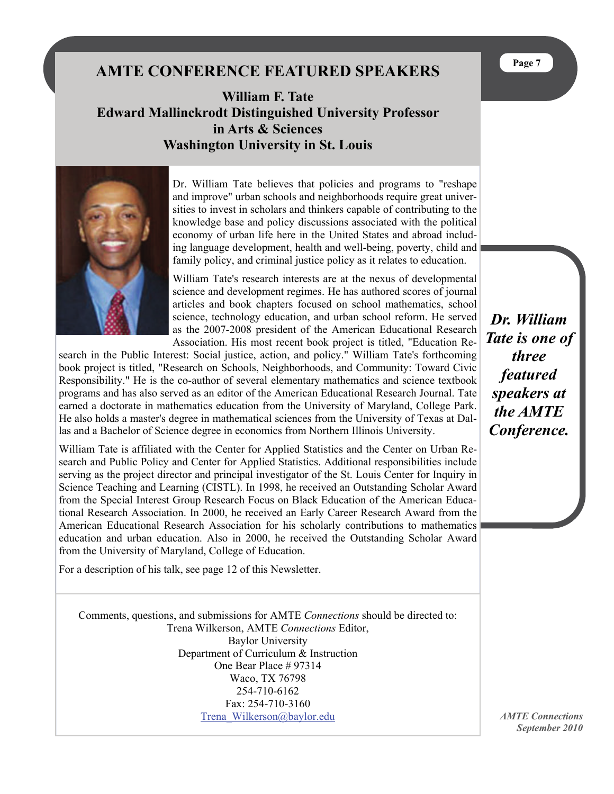## **AMTE CONFERENCE FEATURED SPEAKERS**

**William F. Tate Edward Mallinckrodt Distinguished University Professor in Arts & Sciences Washington University in St. Louis** 



Dr. William Tate believes that policies and programs to "reshape and improve" urban schools and neighborhoods require great universities to invest in scholars and thinkers capable of contributing to the knowledge base and policy discussions associated with the political economy of urban life here in the United States and abroad including language development, health and well-being, poverty, child and family policy, and criminal justice policy as it relates to education.

William Tate's research interests are at the nexus of developmental science and development regimes. He has authored scores of journal articles and book chapters focused on school mathematics, school science, technology education, and urban school reform. He served as the 2007-2008 president of the [American Educational Research](http://www.aera.net/)  [Association](http://www.aera.net/). His most recent book project is titled, "Education Re-

search in the Public Interest: Social justice, action, and policy." William Tate's forthcoming book project is titled, "Research on Schools, Neighborhoods, and Community: Toward Civic Responsibility." He is the co-author of several elementary mathematics and science textbook programs and has also served as an editor of the [American Educational Research Journal](http://www.aera.net/publications/?id=315). Tate earned a doctorate in mathematics education from the University of Maryland, College Park. He also holds a master's degree in mathematical sciences from the University of Texas at Dallas and a Bachelor of Science degree in economics from Northern Illinois University.

William Tate is affiliated with the Center for Applied Statistics and the Center on Urban Research and Public Policy and Center for Applied Statistics. Additional responsibilities include serving as the project director and principal investigator of the [St. Louis Center for Inquiry in](http://cistl.wustl.edu/)  [Science Teaching and Learning \(CISTL\)](http://cistl.wustl.edu/). In 1998, he received an Outstanding Scholar Award from the Special Interest Group Research Focus on Black Education of the American Educational Research Association. In 2000, he received an Early Career Research Award from the American Educational Research Association for his scholarly contributions to mathematics education and urban education. Also in 2000, he received the Outstanding Scholar Award from the University of Maryland, College of Education.

For a description of his talk, see page 12 of this Newsletter.

Comments, questions, and submissions for AMTE *Connections* should be directed to: Trena Wilkerson, AMTE *Connections* Editor, Baylor University Department of Curriculum & Instruction One Bear Place # 97314 Waco, TX 76798 254-710-6162 Fax: 254-710-3160 [Trena\\_Wilkerson@baylor.edu](mailto:Trena_Wilkerson@baylor.edu)

*Dr. William Tate is one of three featured speakers at the AMTE Conference.*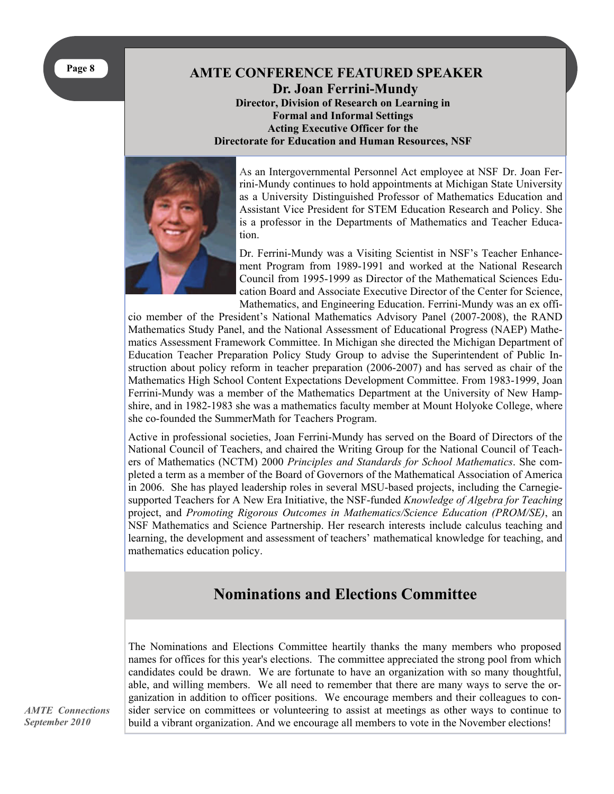#### **AMTE CONFERENCE FEATURED SPEAKER Dr. Joan Ferrini-Mundy Director, Division of Research on Learning in Formal and Informal Settings Acting Executive Officer for the Directorate for Education and Human Resources, NSF**



As an Intergovernmental Personnel Act employee at NSF Dr. Joan Ferrini-Mundy continues to hold appointments at Michigan State University as a University Distinguished Professor of Mathematics Education and Assistant Vice President for STEM Education Research and Policy. She is a professor in the Departments of Mathematics and Teacher Education.

Dr. Ferrini-Mundy was a Visiting Scientist in NSF's Teacher Enhancement Program from 1989-1991 and worked at the National Research Council from 1995-1999 as Director of the Mathematical Sciences Education Board and Associate Executive Director of the Center for Science, Mathematics, and Engineering Education. Ferrini-Mundy was an ex offi-

cio member of the President's National Mathematics Advisory Panel (2007-2008), the RAND Mathematics Study Panel, and the National Assessment of Educational Progress (NAEP) Mathematics Assessment Framework Committee. In Michigan she directed the Michigan Department of Education Teacher Preparation Policy Study Group to advise the Superintendent of Public Instruction about policy reform in teacher preparation (2006-2007) and has served as chair of the Mathematics High School Content Expectations Development Committee. From 1983-1999, Joan Ferrini-Mundy was a member of the Mathematics Department at the University of New Hampshire, and in 1982-1983 she was a mathematics faculty member at Mount Holyoke College, where she co-founded the SummerMath for Teachers Program.

Active in professional societies, Joan Ferrini-Mundy has served on the Board of Directors of the National Council of Teachers, and chaired the Writing Group for the National Council of Teachers of Mathematics (NCTM) 2000 *Principles and Standards for School Mathematics*. She completed a term as a member of the Board of Governors of the Mathematical Association of America in 2006. She has played leadership roles in several MSU-based projects, including the Carnegiesupported Teachers for A New Era Initiative, the NSF-funded *Knowledge of Algebra for Teaching* project, and *Promoting Rigorous Outcomes in Mathematics/Science Education (PROM/SE)*, an NSF Mathematics and Science Partnership. Her research interests include calculus teaching and learning, the development and assessment of teachers' mathematical knowledge for teaching, and mathematics education policy.

## **Nominations and Elections Committee**

The Nominations and Elections Committee heartily thanks the many members who proposed names for offices for this year's elections. The committee appreciated the strong pool from which candidates could be drawn. We are fortunate to have an organization with so many thoughtful, able, and willing members. We all need to remember that there are many ways to serve the organization in addition to officer positions. We encourage members and their colleagues to consider service on committees or volunteering to assist at meetings as other ways to continue to build a vibrant organization. And we encourage all members to vote in the November elections!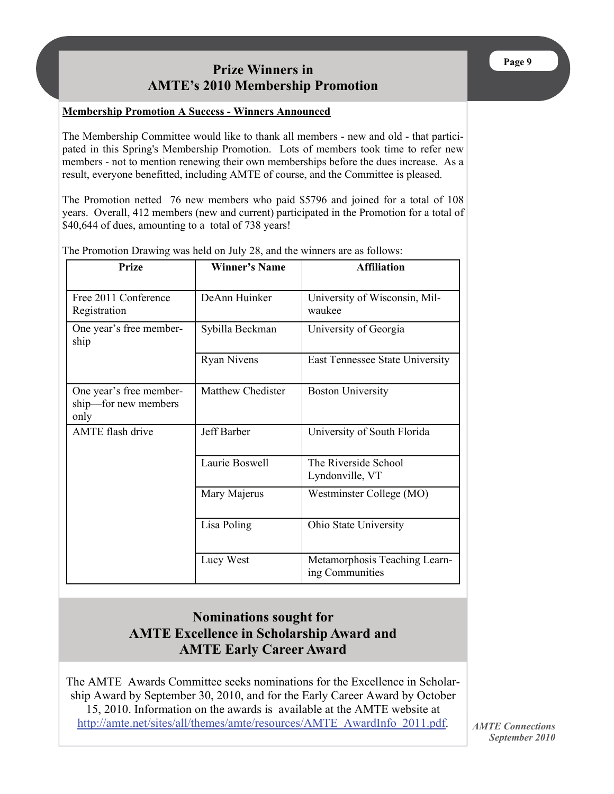### **Prize Winners in AMTE's 2010 Membership Promotion**

#### **Membership Promotion A Success - Winners Announced**

The Membership Committee would like to thank all members - new and old - that participated in this Spring's Membership Promotion. Lots of members took time to refer new members - not to mention renewing their own memberships before the dues increase. As a result, everyone benefitted, including AMTE of course, and the Committee is pleased.

The Promotion netted 76 new members who paid \$5796 and joined for a total of 108 years. Overall, 412 members (new and current) participated in the Promotion for a total of \$40,644 of dues, amounting to a total of 738 years!

| Prize                                                   | <b>Winner's Name</b>     | <b>Affiliation</b>                               |
|---------------------------------------------------------|--------------------------|--------------------------------------------------|
| Free 2011 Conference<br>Registration                    | DeAnn Huinker            | University of Wisconsin, Mil-<br>waukee          |
| One year's free member-<br>ship                         | Sybilla Beckman          | University of Georgia                            |
|                                                         | <b>Ryan Nivens</b>       | East Tennessee State University                  |
| One year's free member-<br>ship-for new members<br>only | <b>Matthew Chedister</b> | <b>Boston University</b>                         |
| AMTE flash drive                                        | Jeff Barber              | University of South Florida                      |
|                                                         | Laurie Boswell           | The Riverside School<br>Lyndonville, VT          |
|                                                         | Mary Majerus             | Westminster College (MO)                         |
|                                                         | Lisa Poling              | Ohio State University                            |
|                                                         | Lucy West                | Metamorphosis Teaching Learn-<br>ing Communities |

The Promotion Drawing was held on July 28, and the winners are as follows:

### **Nominations sought for AMTE Excellence in Scholarship Award and AMTE Early Career Award**

The AMTE Awards Committee seeks nominations for the Excellence in Scholarship Award by September 30, 2010, and for the Early Career Award by October 15, 2010. Information on the awards is available at the AMTE website at [http://amte.net/sites/all/themes/amte/resources/AMTE\\_AwardInfo\\_2011.pdf](http://amte.net/sites/all/themes/amte/resources/AMTE_AwardInfo_2011.pdf).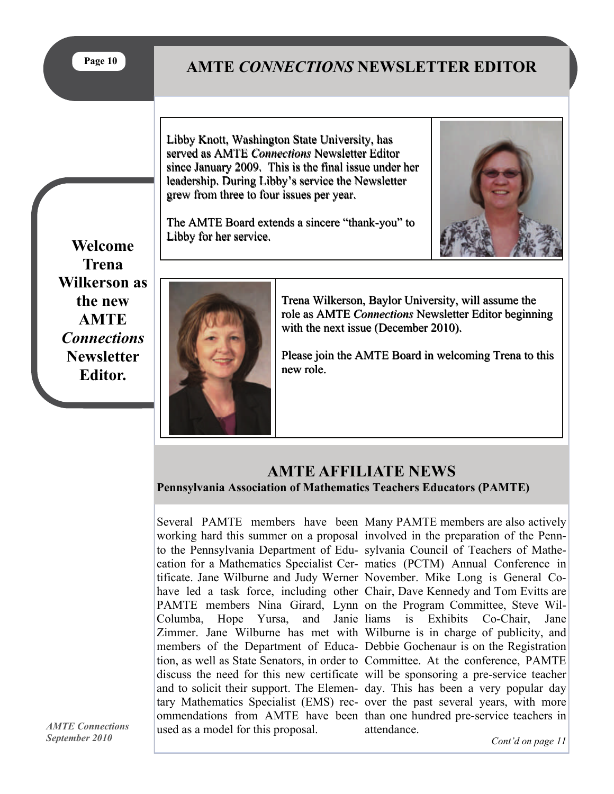**Page 10** 

# **AMTE** *CONNECTIONS* **NEWSLETTER EDITOR**

Libby Knott, Washington State University, has served as AMTE *Connections* Newsletter Editor served as AMTE *Connections* Newsletter Editor<br>since January 2009. This is the final issue under her leadership. During Libby's service the Newsletter leadership. During Libby's service the Newsletter grew from three to four issues per year. grew from three to four issues per year. Libby Knott, Washington State University, has<br>served as AMTE Connections Newsletter Edito<br>since January 2009. This is the final issue unde<br>leadership. During Libby's service the Newslett<br>grew from three to four issues per

The AMTE Board extends a sincere "thank-you" to<br>Libby for her service. Libby for her service.



**Welcome Trena Wilkerson as the new AMTE**  *Connections* **Newsletter Editor.** 



Trena Wilkerson, Baylor University, will assume the role as AMTE *Connections* Newsletter Editor beginning<br>with the next issue (December 2010).<br>Please join the AMTE Board in welcoming Trena to this with the next issue (December 2010).

Please join the AMTE Board in welcoming Trena to this new role.

### **AMTE AFFILIATE NEWS**

**Pennsylvania Association of Mathematics Teachers Educators (PAMTE)** 

Several PAMTE members have been Many PAMTE members are also actively working hard this summer on a proposal involved in the preparation of the Pennto the Pennsylvania Department of Edu-sylvania Council of Teachers of Mathecation for a Mathematics Specialist Cer-matics (PCTM) Annual Conference in tificate. Jane Wilburne and Judy Werner November. Mike Long is General Cohave led a task force, including other Chair, Dave Kennedy and Tom Evitts are PAMTE members Nina Girard, Lynn on the Program Committee, Steve Wil-Columba, Hope Yursa, and Janie liams Zimmer. Jane Wilburne has met with Wilburne is in charge of publicity, and members of the Department of Educa-Debbie Gochenaur is on the Registration tion, as well as State Senators, in order to Committee. At the conference, PAMTE discuss the need for this new certificate will be sponsoring a pre-service teacher and to solicit their support. The Elemen-day. This has been a very popular day tary Mathematics Specialist (EMS) rec-over the past several years, with more ommendations from AMTE have been than one hundred pre-service teachers in used as a model for this proposal.

is Exhibits Co-Chair, Jane attendance.

*AMTE Connections September 2010* 

*Cont'd on page 11*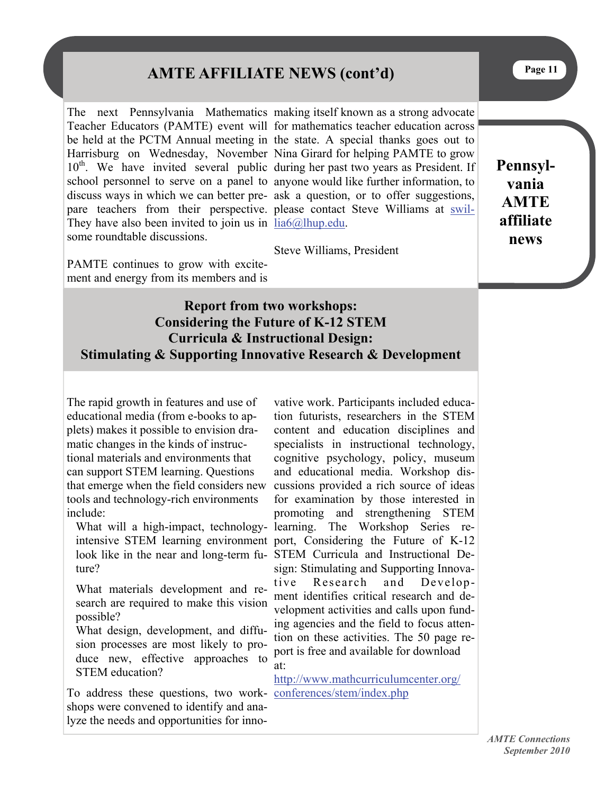# **AMTE AFFILIATE NEWS (cont'd)**

The next Pennsylvania Mathematics making itself known as a strong advocate Teacher Educators (PAMTE) event will for mathematics teacher education across be held at the PCTM Annual meeting in the state. A special thanks goes out to Harrisburg on Wednesday, November Nina Girard for helping PAMTE to grow 10<sup>th</sup>. We have invited several public during her past two years as President. If school personnel to serve on a panel to anyone would like further information, to discuss ways in which we can better pre-ask a question, or to offer suggestions, pare teachers from their perspective. please contact Steve Williams at [swil-](mailto:swillia6@lhup.edu)They have also been invited to join us in  $\frac{lia6@lhup.edu}{lia6@lhup.edu}$  $\frac{lia6@lhup.edu}{lia6@lhup.edu}$  $\frac{lia6@lhup.edu}{lia6@lhup.edu}$ . some roundtable discussions.

Steve Williams, President

PAMTE continues to grow with excitement and energy from its members and is

**Pennsylvania AMTE affiliate news** 

#### **Report from two workshops: Considering the Future of K-12 STEM Curricula & Instructional Design: Stimulating & Supporting Innovative Research & Development**

The rapid growth in features and use of educational media (from e-books to applets) makes it possible to envision dramatic changes in the kinds of instructional materials and environments that can support STEM learning. Questions that emerge when the field considers new tools and technology-rich environments include:

ture?

What materials development and research are required to make this vision possible?

What design, development, and diffusion processes are most likely to produce new, effective approaches to STEM education?

To address these questions, two work-[conferences/stem/index.php](https://connect.wsu.edu/exchweb/bin/redir.asp?URL=http://www.mathcurriculumcenter.org/conferences/stem/index.php) shops were convened to identify and analyze the needs and opportunities for inno-

What will a high-impact, technology-learning. The Workshop Series reintensive STEM learning environment port, Considering the Future of K-12 look like in the near and long-term fu-STEM Curricula and Instructional Devative work. Participants included education futurists, researchers in the STEM content and education disciplines and specialists in instructional technology, cognitive psychology, policy, museum and educational media. Workshop discussions provided a rich source of ideas for examination by those interested in promoting and strengthening STEM sign: Stimulating and Supporting Innovative Research and Development identifies critical research and development activities and calls upon funding agencies and the field to focus attention on these activities. The 50 page report is free and available for download at:

[http://www.mathcurriculumcenter.org/](https://connect.wsu.edu/exchweb/bin/redir.asp?URL=http://www.mathcurriculumcenter.org/conferences/stem/index.php)

**Page 11**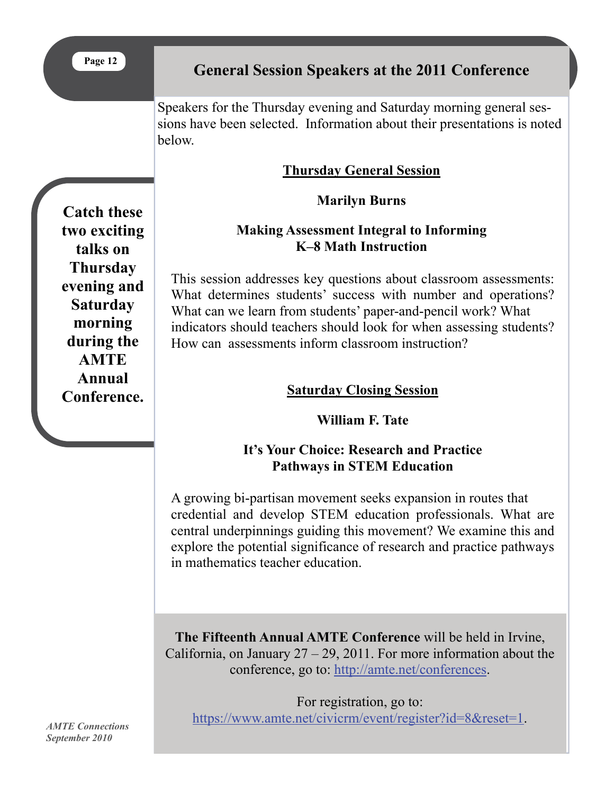# **General Session Speakers at the 2011 Conference**

Speakers for the Thursday evening and Saturday morning general sessions have been selected. Information about their presentations is noted below.

### **Thursday General Session**

### **Marilyn Burns**

### **Making Assessment Integral to Informing K–8 Math Instruction**

This session addresses key questions about classroom assessments: What determines students' success with number and operations? What can we learn from students' paper-and-pencil work? What indicators should teachers should look for when assessing students? How can assessments inform classroom instruction?

### **Saturday Closing Session**

### **William F. Tate**

### **It's Your Choice: Research and Practice Pathways in STEM Education**

A growing bi-partisan movement seeks expansion in routes that credential and develop STEM education professionals. What are central underpinnings guiding this movement? We examine this and explore the potential significance of research and practice pathways in mathematics teacher education.

**The Fifteenth Annual AMTE Conference** will be held in Irvine, California, on January  $27 - 29$ , 2011. For more information about the conference, go to: <http://amte.net/conferences>.

For registration, go to: <https://www.amte.net/civicrm/event/register?id=8&reset=1>.

**Catch these two exciting talks on Thursday evening and Saturday morning during the AMTE Annual Conference.**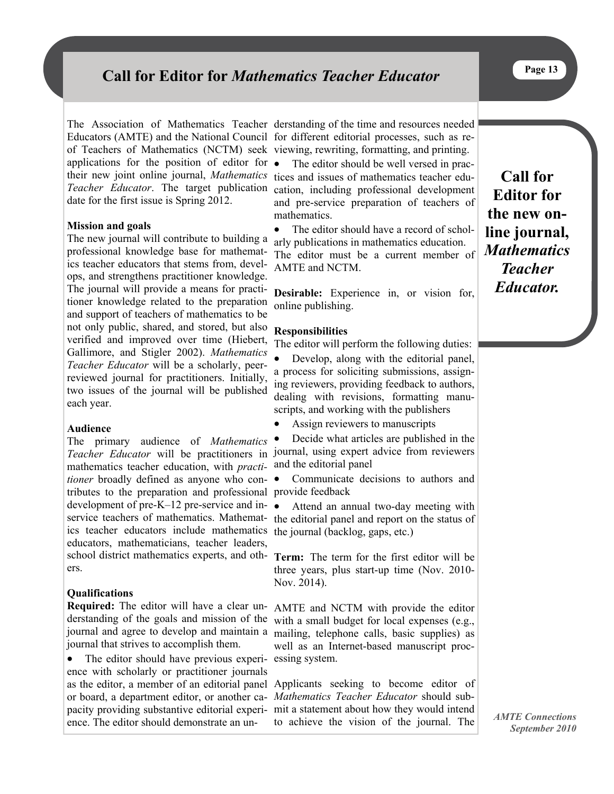# **Call for Editor for** *Mathematics Teacher Educator*

Educators (AMTE) and the National Council for different editorial processes, such as reof Teachers of Mathematics (NCTM) seek viewing, rewriting, formatting, and printing. applications for the position of editor for their new joint online journal, *Mathematics*  tices and issues of mathematics teacher edu-*Teacher Educator*. The target publication cation, including professional development date for the first issue is Spring 2012.

#### **Mission and goals**

The new journal will contribute to building a professional knowledge base for mathematics teacher educators that stems from, develops, and strengthens practitioner knowledge. The journal will provide a means for practitioner knowledge related to the preparation and support of teachers of mathematics to be not only public, shared, and stored, but also verified and improved over time (Hiebert, Gallimore, and Stigler 2002). *Mathematics Teacher Educator* will be a scholarly, peerreviewed journal for practitioners. Initially, two issues of the journal will be published each year.

#### **Audience**

The primary audience of *Mathematics Teacher Educator* will be practitioners in journal, using expert advice from reviewers mathematics teacher education, with *practi-*and the editorial panel *tioner* broadly defined as anyone who contributes to the preparation and professional provide feedback development of pre-K–12 pre-service and inservice teachers of mathematics. Mathemat-the editorial panel and report on the status of ics teacher educators include mathematics the journal (backlog, gaps, etc.) educators, mathematicians, teacher leaders, school district mathematics experts, and oth-**Term:** The term for the first editor will be ers.

#### **Qualifications**

derstanding of the goals and mission of the with a small budget for local expenses (e.g., journal and agree to develop and maintain a mailing, telephone calls, basic supplies) as journal that strives to accomplish them.

 The editor should have previous experi-essing system. ence with scholarly or practitioner journals as the editor, a member of an editorial panel Applicants seeking to become editor of or board, a department editor, or another ca-*Mathematics Teacher Educator* should subpacity providing substantive editorial experi-mit a statement about how they would intend ence. The editor should demonstrate an un-

The Association of Mathematics Teacher derstanding of the time and resources needed

 The editor should be well versed in pracand pre-service preparation of teachers of mathematics.

• The editor should have a record of scholarly publications in mathematics education. The editor must be a current member of AMTE and NCTM.

**Desirable:** Experience in, or vision for, online publishing.

#### **Responsibilities**

The editor will perform the following duties:

- Develop, along with the editorial panel, a process for soliciting submissions, assigning reviewers, providing feedback to authors, dealing with revisions, formatting manuscripts, and working with the publishers
- Assign reviewers to manuscripts

Decide what articles are published in the

Communicate decisions to authors and

Attend an annual two-day meeting with

three years, plus start-up time (Nov. 2010- Nov. 2014).

**Required:** The editor will have a clear un-AMTE and NCTM with provide the editor well as an Internet-based manuscript proc-

to achieve the vision of the journal. The

**Call for Editor for the new online journal,**  *Mathematics Teacher Educator.*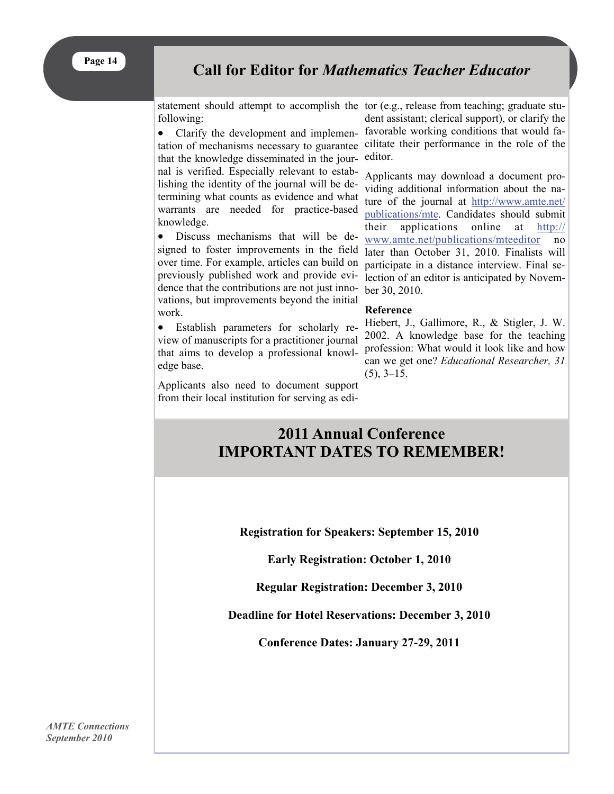

### **Call for Editor for** *Mathematics Teacher Educator*

statement should attempt to accomplish the tor (e.g., release from teaching; graduate stufollowing:

• Clarify the development and implementation of mechanisms necessary to guarantee cilitate their performance in the role of the that the knowledge disseminated in the journal is verified. Especially relevant to establishing the identity of the journal will be determining what counts as evidence and what warrants are needed for practice-based knowledge.

 Discuss mechanisms that will be designed to foster improvements in the field over time. For example, articles can build on previously published work and provide evidence that the contributions are not just innovations, but improvements beyond the initial work.

 Establish parameters for scholarly review of manuscripts for a practitioner journal that aims to develop a professional knowledge base.

Applicants also need to document support from their local institution for serving as edi-

dent assistant; clerical support), or clarify the favorable working conditions that would faeditor.

Applicants may download a document providing additional information about the nature of the journal at [http://www.amte.net/](http://www.amte.net/publications/mte) [publications/mte](http://www.amte.net/publications/mte). Candidates should submit their applications online at [http://](http://www.amte.net/publications/mteeditor) [www.amte.net/publications/mteeditor](http://www.amte.net/publications/mteeditor) no later than October 31, 2010. Finalists will participate in a distance interview. Final selection of an editor is anticipated by November 30, 2010.

#### **Reference**

Hiebert, J., Gallimore, R., & Stigler, J. W. 2002. A knowledge base for the teaching profession: What would it look like and how can we get one? *Educational Researcher, 31*  $(5)$ ,  $3-15$ .

# **2011 Annual Conference IMPORTANT DATES TO REMEMBER!**

**Registration for Speakers: September 15, 2010** 

**Early Registration: October 1, 2010** 

**Regular Registration: December 3, 2010** 

**Deadline for Hotel Reservations: December 3, 2010** 

**Conference Dates: January 27-29, 2011**